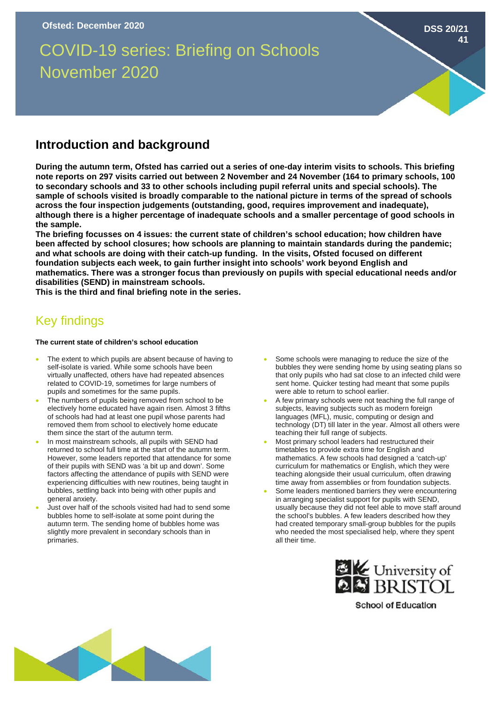# COVID-19 series: Briefing on Schools November 2020

## **Introduction and background**

**During the autumn term, Ofsted has carried out a series of one-day interim visits to schools. This briefing note reports on 297 visits carried out between 2 November and 24 November (164 to primary schools, 100 to secondary schools and 33 to other schools including pupil referral units and special schools). The sample of schools visited is broadly comparable to the national picture in terms of the spread of schools across the four inspection judgements (outstanding, good, requires improvement and inadequate), although there is a higher percentage of inadequate schools and a smaller percentage of good schools in the sample.**

**The briefing focusses on 4 issues: the current state of children's school education; how children have been affected by school closures; how schools are planning to maintain standards during the pandemic; and what schools are doing with their catch-up funding. In the visits, Ofsted focused on different foundation subjects each week, to gain further insight into schools' work beyond English and mathematics. There was a stronger focus than previously on pupils with special educational needs and/or disabilities (SEND) in mainstream schools.** 

**This is the third and final briefing note in the series.** 

# Key findings

#### **The current state of children's school education**

- The extent to which pupils are absent because of having to self-isolate is varied. While some schools have been virtually unaffected, others have had repeated absences related to COVID-19, sometimes for large numbers of pupils and sometimes for the same pupils.
- The numbers of pupils being removed from school to be electively home educated have again risen. Almost 3 fifths of schools had had at least one pupil whose parents had removed them from school to electively home educate them since the start of the autumn term.
- In most mainstream schools, all pupils with SEND had returned to school full time at the start of the autumn term. However, some leaders reported that attendance for some of their pupils with SEND was 'a bit up and down'. Some factors affecting the attendance of pupils with SEND were experiencing difficulties with new routines, being taught in bubbles, settling back into being with other pupils and general anxiety.
- Just over half of the schools visited had had to send some bubbles home to self-isolate at some point during the autumn term. The sending home of bubbles home was slightly more prevalent in secondary schools than in primaries.

Some schools were managing to reduce the size of the bubbles they were sending home by using seating plans so that only pupils who had sat close to an infected child were sent home. Quicker testing had meant that some pupils were able to return to school earlier.

**DSS 20/21**

**41**

- A few primary schools were not teaching the full range of subjects, leaving subjects such as modern foreign languages (MFL), music, computing or design and technology (DT) till later in the year. Almost all others were teaching their full range of subjects.
- Most primary school leaders had restructured their timetables to provide extra time for English and mathematics. A few schools had designed a 'catch-up' curriculum for mathematics or English, which they were teaching alongside their usual curriculum, often drawing time away from assemblies or from foundation subjects.
- Some leaders mentioned barriers they were encountering in arranging specialist support for pupils with SEND, usually because they did not feel able to move staff around the school's bubbles. A few leaders described how they had created temporary small-group bubbles for the pupils who needed the most specialised help, where they spent all their time.



**School of Education**